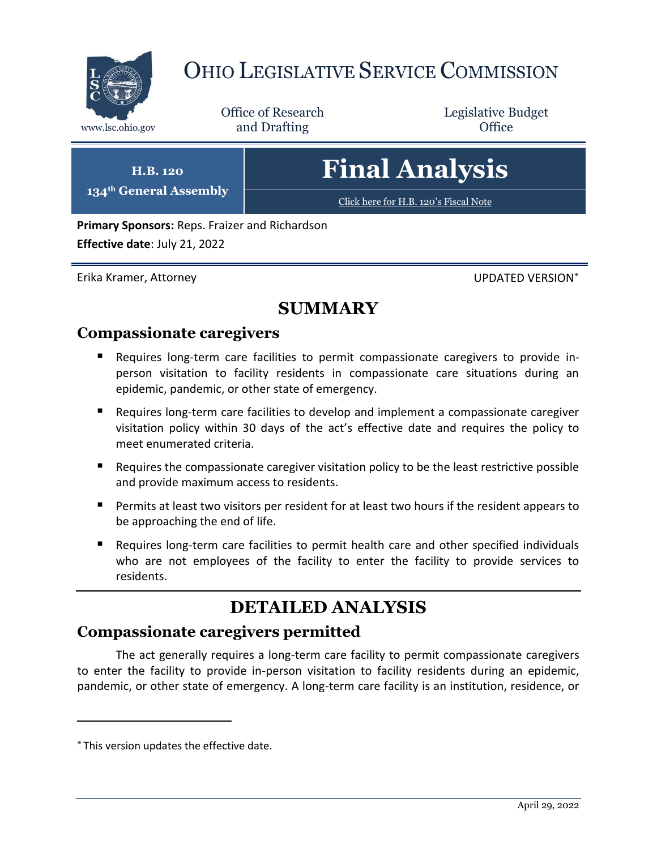

# OHIO LEGISLATIVE SERVICE COMMISSION

Office of Research www.lsc.ohio.gov **and Drafting Office** 

Legislative Budget

**H.B. 120 134th General Assembly** **Final Analysis**

[Click here for H.B. 120](https://www.legislature.ohio.gov/legislation/legislation-documents?id=GA134-HB-120)'s Fiscal Note

**Primary Sponsors:** Reps. Fraizer and Richardson **Effective date**: July 21, 2022

Erika Kramer, Attorney UPDATED VERSION

### **SUMMARY**

#### **Compassionate caregivers**

- Requires long-term care facilities to permit compassionate caregivers to provide inperson visitation to facility residents in compassionate care situations during an epidemic, pandemic, or other state of emergency.
- Requires long-term care facilities to develop and implement a compassionate caregiver visitation policy within 30 days of the act's effective date and requires the policy to meet enumerated criteria.
- Requires the compassionate caregiver visitation policy to be the least restrictive possible and provide maximum access to residents.
- **Permits at least two visitors per resident for at least two hours if the resident appears to** be approaching the end of life.
- Requires long-term care facilities to permit health care and other specified individuals who are not employees of the facility to enter the facility to provide services to residents.

# **DETAILED ANALYSIS**

### **Compassionate caregivers permitted**

The act generally requires a long-term care facility to permit compassionate caregivers to enter the facility to provide in-person visitation to facility residents during an epidemic, pandemic, or other state of emergency. A long-term care facility is an institution, residence, or

This version updates the effective date.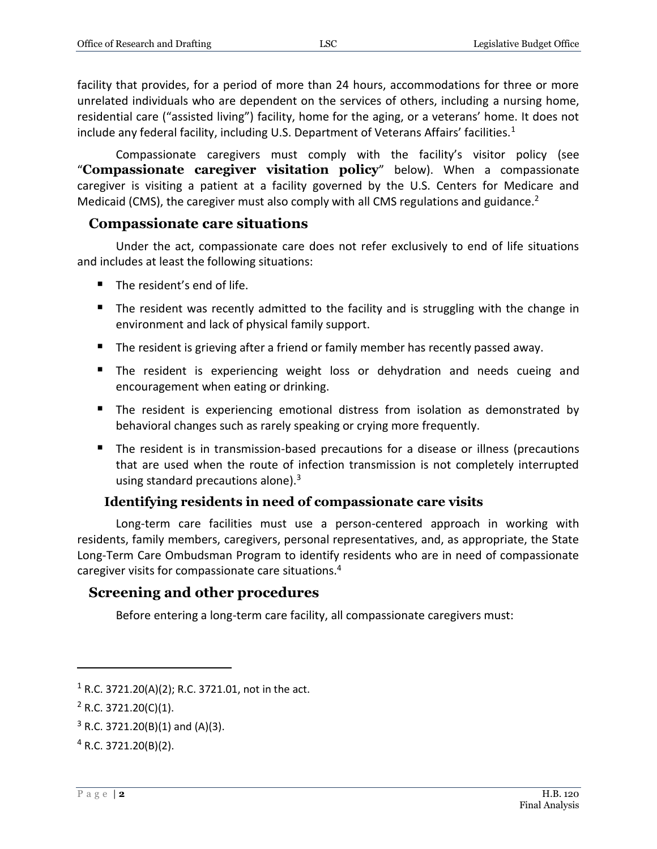facility that provides, for a period of more than 24 hours, accommodations for three or more unrelated individuals who are dependent on the services of others, including a nursing home, residential care ("assisted living") facility, home for the aging, or a veterans' home. It does not include any federal facility, including U.S. Department of Veterans Affairs' facilities.<sup>1</sup>

Compassionate caregivers must comply with the facility's visitor policy (see "**Compassionate caregiver visitation policy**" below). When a compassionate caregiver is visiting a patient at a facility governed by the U.S. Centers for Medicare and Medicaid (CMS), the caregiver must also comply with all CMS regulations and guidance.<sup>2</sup>

#### **Compassionate care situations**

Under the act, compassionate care does not refer exclusively to end of life situations and includes at least the following situations:

- The resident's end of life.
- **The resident was recently admitted to the facility and is struggling with the change in** environment and lack of physical family support.
- **The resident is grieving after a friend or family member has recently passed away.**
- **The resident is experiencing weight loss or dehydration and needs cueing and** encouragement when eating or drinking.
- The resident is experiencing emotional distress from isolation as demonstrated by behavioral changes such as rarely speaking or crying more frequently.
- The resident is in transmission-based precautions for a disease or illness (precautions that are used when the route of infection transmission is not completely interrupted using standard precautions alone). $3$

#### **Identifying residents in need of compassionate care visits**

Long-term care facilities must use a person-centered approach in working with residents, family members, caregivers, personal representatives, and, as appropriate, the State Long-Term Care Ombudsman Program to identify residents who are in need of compassionate caregiver visits for compassionate care situations.<sup>4</sup>

#### **Screening and other procedures**

Before entering a long-term care facility, all compassionate caregivers must:

<sup>&</sup>lt;sup>1</sup> R.C. 3721.20(A)(2); R.C. 3721.01, not in the act.

 $2$  R.C. 3721.20(C)(1).

 $3$  R.C. 3721.20(B)(1) and (A)(3).

 $4$  R.C. 3721.20(B)(2).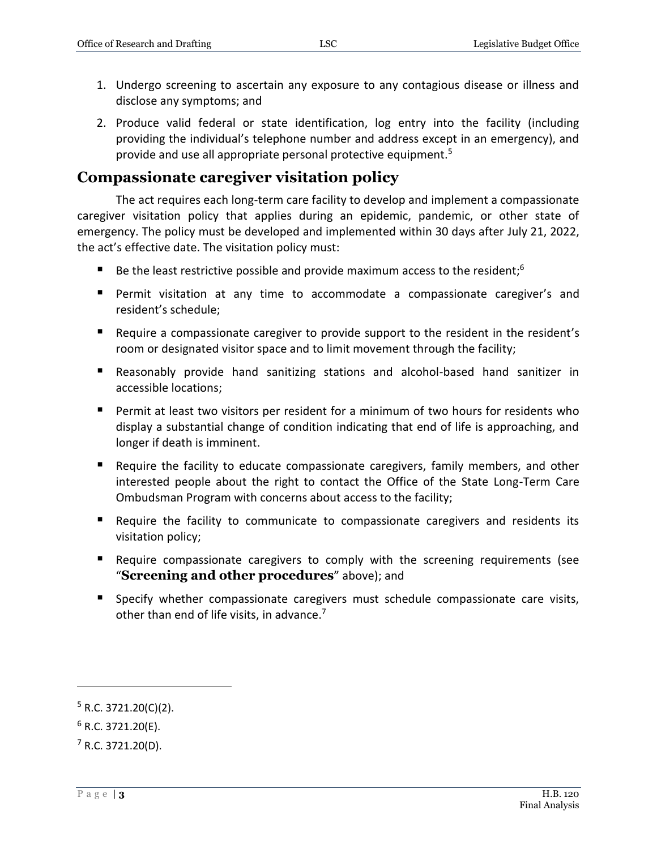- 1. Undergo screening to ascertain any exposure to any contagious disease or illness and disclose any symptoms; and
- 2. Produce valid federal or state identification, log entry into the facility (including providing the individual's telephone number and address except in an emergency), and provide and use all appropriate personal protective equipment.<sup>5</sup>

#### **Compassionate caregiver visitation policy**

The act requires each long-term care facility to develop and implement a compassionate caregiver visitation policy that applies during an epidemic, pandemic, or other state of emergency. The policy must be developed and implemented within 30 days after July 21, 2022, the act's effective date. The visitation policy must:

- Be the least restrictive possible and provide maximum access to the resident;<sup>6</sup>
- **Permit visitation at any time to accommodate a compassionate caregiver's and** resident's schedule;
- Require a compassionate caregiver to provide support to the resident in the resident's room or designated visitor space and to limit movement through the facility;
- Reasonably provide hand sanitizing stations and alcohol-based hand sanitizer in accessible locations;
- **Permit at least two visitors per resident for a minimum of two hours for residents who** display a substantial change of condition indicating that end of life is approaching, and longer if death is imminent.
- Require the facility to educate compassionate caregivers, family members, and other interested people about the right to contact the Office of the State Long-Term Care Ombudsman Program with concerns about access to the facility;
- Require the facility to communicate to compassionate caregivers and residents its visitation policy;
- Require compassionate caregivers to comply with the screening requirements (see "**Screening and other procedures**" above); and
- **Specify whether compassionate caregivers must schedule compassionate care visits,** other than end of life visits, in advance.<sup>7</sup>

 $5$  R.C. 3721.20(C)(2).

 $6$  R.C. 3721.20(E).

 $<sup>7</sup>$  R.C. 3721.20(D).</sup>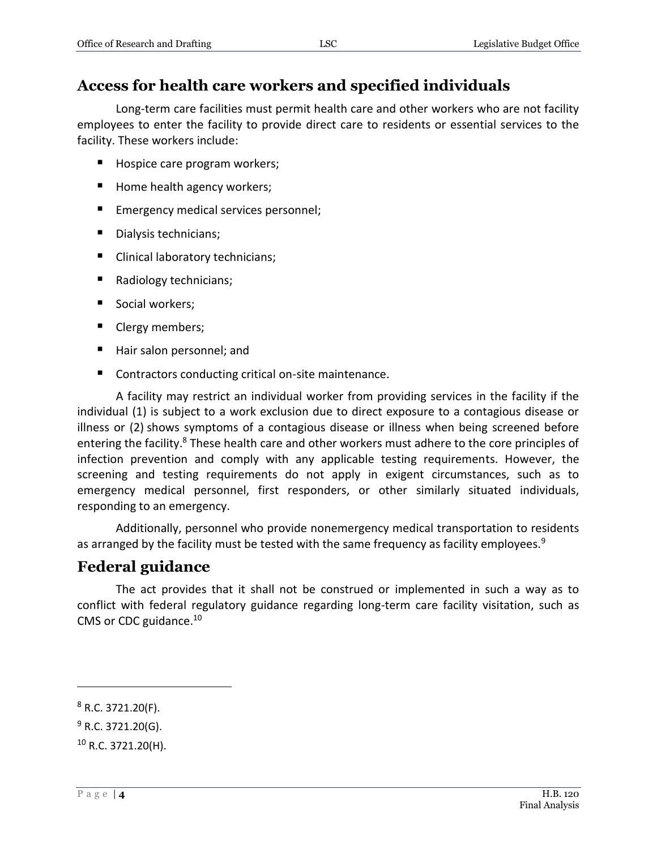#### **Access for health care workers and specified individuals**

Long-term care facilities must permit health care and other workers who are not facility employees to enter the facility to provide direct care to residents or essential services to the facility. These workers include:

- Hospice care program workers;
- Home health agency workers;
- Emergency medical services personnel;
- Dialysis technicians;
- Clinical laboratory technicians;
- Radiology technicians;
- Social workers;
- Clergy members;
- Hair salon personnel; and
- Contractors conducting critical on-site maintenance.

A facility may restrict an individual worker from providing services in the facility if the individual (1) is subject to a work exclusion due to direct exposure to a contagious disease or illness or (2) shows symptoms of a contagious disease or illness when being screened before entering the facility.<sup>8</sup> These health care and other workers must adhere to the core principles of infection prevention and comply with any applicable testing requirements. However, the screening and testing requirements do not apply in exigent circumstances, such as to emergency medical personnel, first responders, or other similarly situated individuals, responding to an emergency.

Additionally, personnel who provide nonemergency medical transportation to residents as arranged by the facility must be tested with the same frequency as facility employees.<sup>9</sup>

#### **Federal guidance**

The act provides that it shall not be construed or implemented in such a way as to conflict with federal regulatory guidance regarding long-term care facility visitation, such as CMS or CDC guidance.<sup>10</sup>

 $8$  R.C. 3721.20(F).

 $9$  R.C. 3721.20(G).

 $10$  R.C. 3721.20(H).